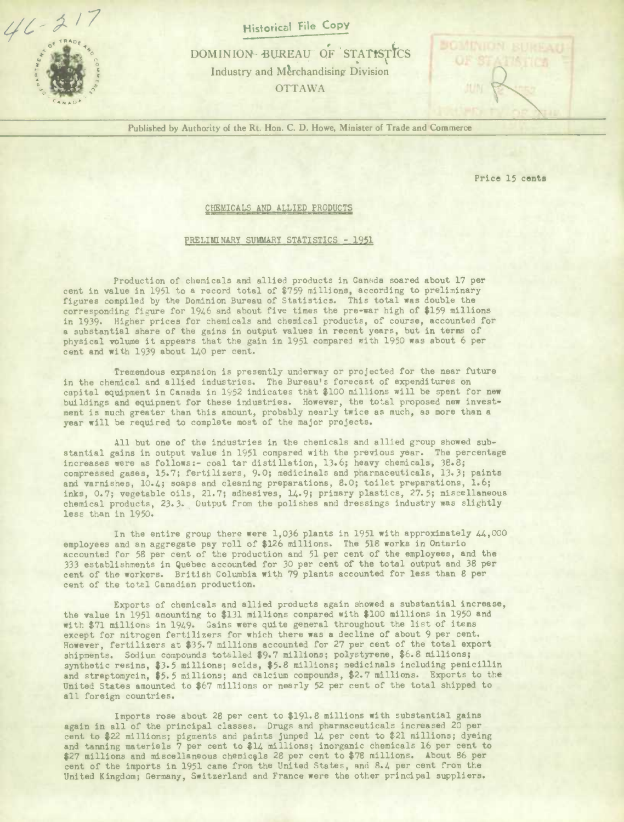$46 - 21$ 

**Historical File Copy** 

DOMINION BUREAU OF STATISTICS Industry and Merchandising Division OTTAWA

Published by Authority of the Rt. Hon. C. D. Howe, Minister of Trade and Commerce

Price 15 cents

## CHEMICALS AND ALLIED PRODUCTS

## PRELIMINARY SUMMARY STATISTICS - 1951

Production of chemicals and allied products in Canada soared about 17 per cent in value in 1951 to a record total of \$759 millions, according to preliminary figures compiled by the Dominion Bureau of Statistics. This total was double the corresponding figure for 1966 and about five times the pre-war high of *8159* millions in 1939. Higher prices for chemicals and chemical products, of course, accounted for a substantial share of the gains In output values in recent years, but in terms of physical volume it appears that the gain in 1951 compared with 1950 was about 6 per cent and with 1939 about 140 per cent.

Tremendous expansion is presently underway or projected for the near future in the chemical and allied industries. The Bureau's forecast of expenditures on capital equipment in Canada in 1952 indicates that \$100 millions will be spent for new buildings and equipment for these industries. However, the total proposed new investment is much greater than this amount, probably nearly twice as much, as more than a year will be required to complete most of the major projects.

All but one of the industries in the chemicals and allied group showed substantial gains In output value in 1951 compared with the previous year. The percentage increases were as follows:- coal tar distillation, 13.6; heavy chemicals, 38.8; compressed gases, 15.7; fertilizers, 9.0; medicinals and pharmaceuticals, *13.3;* paints and varnishes, 10.4; soaps and cleaning preparations, 8.0; toilet preparations, 1.6; inks, 0.7; vegetable oils, 21.7; adhesives, 14.9; primary plastics, 27.5; miscellaneous chemical products, 23.3. Output from the polishes and dressings industry was slightly less than in 1950.

In the entire group there were 1,036 plants in 1951 with approximately  $44,000$ employees and an aggregate pay roll of \$126 millions. The 518 works in Ontario accounted for 58 per cent of the production and 51 per cent of the employees, and the 333 establishments in Quebec accounted for 30 per cent of the total output and 38 per cent of the workers. British Columbia with 79 plants accounted for less than 8 per cent of the total Canadian production.

Exports of chemicals and allied products again showed a substantial increase, the value in 1951 amounting to \$131 millions compared with \$100 millions in 1950 and with \$71 millions in 1949. Gains were quite general throughout the list of items except for nitrogen fertilizers for which there was a decline of about 9 per cent. However, fertilizers at \$35.7 millions accounted for 27 per cent of the total export shipments. Sodium compounds totalled \$9.7 millions; polystyrene, \$6.8 millions; synthetic resins, \$3.5 millions; acids, \$5.8 millions; medicinals including penicillin and streptomycin, \$5.5 millions; and calcium compounds, \$2.7 millions. Exports to the United States amounted to \$67 millions or nearly 52 per cent of the total shipped to all foreign countries.

Imports rose about 28 per cent to \$191.8 millions with substantial gains again in all of the principal classes. Drugs and pharmaceuticals increased 20 per cent to \$22 millions; pigments and paints jumped 14 per cent to \$21 millions; dyeing and tanning materials 7 per cent to \$14 millions; inorganic chemicals 16 per cent to \$27 millions and miscellaneous chemicals 28 per cent to \$78 millions. About 86 per cent of the imports in 1951 came from the United States, and 8.4 per cent from the United Kingdom; Germany, Switzerland and France were the other principal suppliers.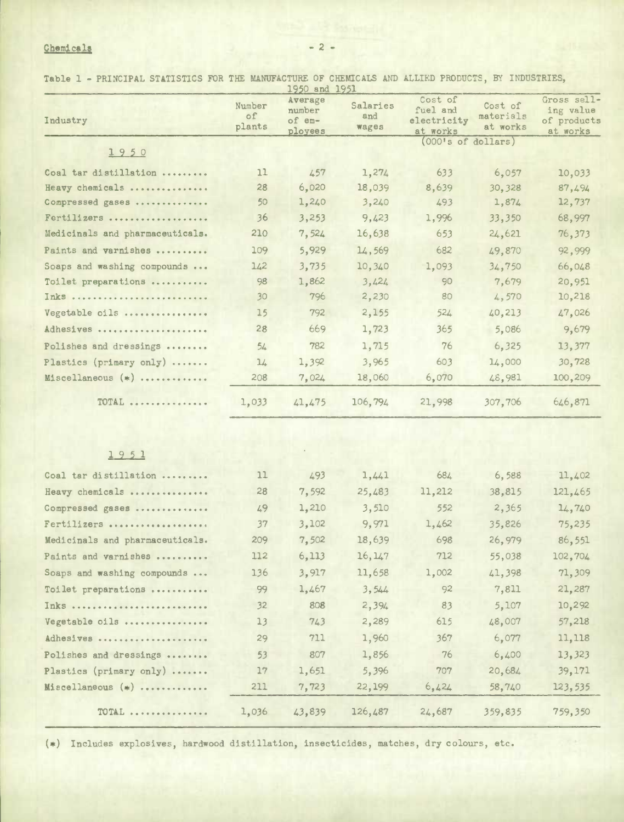## **<u>Chemicals</u>** - 2 -

Table 1 - PRINCIPAL STATISTICS FOR THE MANUFACTURE OF CHEMICALS AND ALLIED PRODUCTS, BY INDUSTRIES,

| Industry                        | Number<br>of<br>plants | 1950 and 1951<br>Average<br>number<br>of em-<br>ployees | Salaries<br>and<br>wages | Cost of<br>fuel and<br>electricity<br>at works | Cost of<br>materials<br>at works | Gross sell-<br>ing value<br>of products<br>at works |
|---------------------------------|------------------------|---------------------------------------------------------|--------------------------|------------------------------------------------|----------------------------------|-----------------------------------------------------|
| 1950                            |                        |                                                         |                          | (000's of dollars)                             |                                  |                                                     |
| Coal tar distillation           | 11                     | 457                                                     | 1,274                    | 633                                            | 6,057                            | 10,033                                              |
| Heavy chemicals                 | 28                     | 6,020                                                   | 18,039                   | 8,639                                          | 30,328                           | 87,494                                              |
| Compressed gases                | 50                     | 1,240                                                   | 3,240                    | 493                                            | 1,874                            | 12,737                                              |
| Fertilizers                     | 36                     | 3,253                                                   | 9,423                    | 1,996                                          | 33,350                           | 68,997                                              |
| Medicinals and pharmaceuticals. | 210                    | 7,524                                                   | 16,638                   | 653                                            | 24,621                           | 76,373                                              |
| Paints and varnishes            | 109                    | 5,929                                                   | 14,569                   | 682                                            | 49,870                           | 92,999                                              |
| Soaps and washing compounds     | 142                    | 3,735                                                   | 10,340                   | 1,093                                          | 34,750                           | 66,048                                              |
| Toilet preparations             | 98                     | 1,862                                                   | 3,424                    | 90                                             | 7,679                            | 20,951                                              |
| Inks                            | 30                     | 796                                                     | 2,230                    | 80                                             | 4,570                            | 10,218                                              |
| Vegetable oils                  | 15                     | 792                                                     | 2,155                    | 524                                            | 40,213                           | 47,026                                              |
| Adhesives                       | 28                     | 669                                                     | 1,723                    | 365                                            | 5,086                            | 9,679                                               |
| Polishes and dressings          | 54                     | 782                                                     | 1,715                    | 76                                             | 6,325                            | 13,377                                              |
| Plastics (primary only)         | 1/2                    | 1,392                                                   | 3,965                    | 603                                            | 14,000                           | 30,728                                              |
| Miscellaneous (*)               | 208                    | 7,024                                                   | 18,060                   | 6,070                                          | 48,981                           | 100,209                                             |
| TOTAL                           | 1,033                  | 41,475                                                  | 106,794                  | 21,998                                         | 307,706                          | 646,871                                             |

1951

| Coal tar distillation           | 11    | 493    | 1,441   | 684    | 6,588   | 11,402  |
|---------------------------------|-------|--------|---------|--------|---------|---------|
| Heavy chemicals                 | 28    | 7,592  | 25,483  | 11,212 | 38,815  | 121,465 |
| Compressed gases                | 49    | 1,210  | 3,510   | 552    | 2,365   | 14,740  |
| Fertilizers                     | 37    | 3,102  | 9.971   | 1,462  | 35,826  | 75,235  |
| Medicinals and pharmaceuticals. | 209   | 7,502  | 18,639  | 698    | 26.979  | 86,551  |
| Paints and varnishes            | 112   | 6,113  | 16, 147 | 712    | 55,038  | 102,704 |
| Soaps and washing compounds     | 136   | 3.917  | 11,658  | 1,002  | 41,398  | 71,309  |
| Toilet preparations             | 99    | 1,467  | 3.544   | 92     | 7,811   | 21,287  |
| Inks                            | 32    | 808    | 2,394   | 83     | 5.107   | 10,292  |
| Vegetable oils                  | 13    | 743    | 2,289   | 615    | 48,007  | 57,218  |
| Adhesives                       | 29    | 711    | 1,960   | 367    | 6.077   | 11,118  |
| Polishes and dressings          | 53    | 807    | 1,856   | 76     | 6,400   | 13,323  |
| Plastics (primary only)         | 17    | 1,651  | 5.396   | 707    | 20.684  | 39,171  |
| $Missellaneous (*)$             | 211   | 7,723  | 22, 199 | 6,424  | 58,740  | 123,535 |
| TOTAL                           | 1,036 | 43,839 | 126,487 | 24,687 | 359,835 | 759,350 |

(\*) Includes explosives, hardwood distillation, insecticides, matches, dry colours, etc.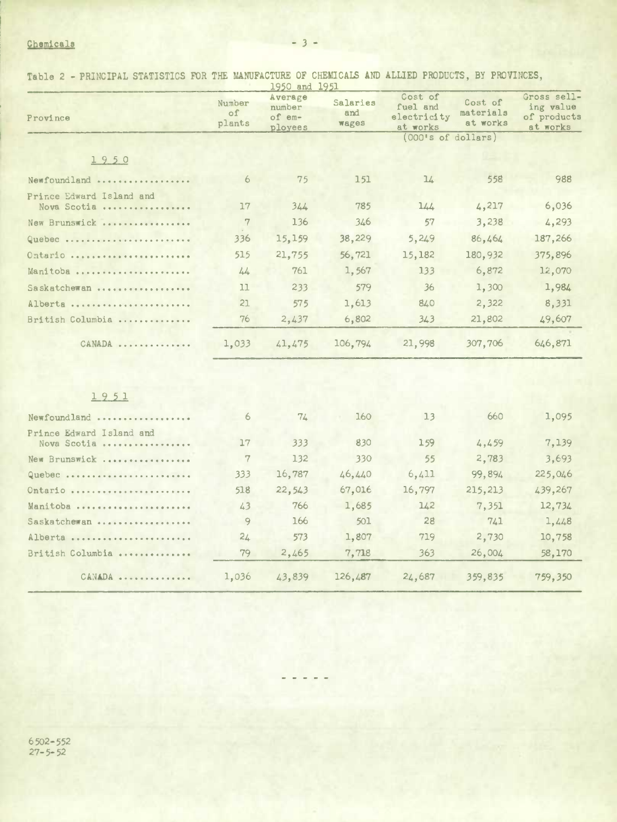## Chemicals -3 -

Table 2 - PRINCIPAL STATISTICS FOR THE MANuFACTURE OF CHEMiCAlS AND ALLIED PRODUCTS, BY PROVINCES,

|                                         |                               | 1950 and 1951                          |                          |                                                |                                  |                                                     |  |  |
|-----------------------------------------|-------------------------------|----------------------------------------|--------------------------|------------------------------------------------|----------------------------------|-----------------------------------------------------|--|--|
| Province                                | Number<br>$\circ$ f<br>plants | Average<br>number<br>of em-<br>ployees | Salaries<br>and<br>wages | Cost of<br>fuel and<br>electricity<br>at works | Cost of<br>materials<br>at works | Gross sell-<br>ing value<br>of products<br>at works |  |  |
|                                         |                               |                                        |                          |                                                | (000's of dollars)               |                                                     |  |  |
| 1950                                    |                               |                                        |                          |                                                |                                  |                                                     |  |  |
| Newfoundland                            | 6                             | 75                                     | 151                      | 14                                             | 558                              | 988                                                 |  |  |
| Prince Edward Island and<br>Nova Scotia | 17                            | 344                                    | 785                      | 144                                            | 4,217                            | 6,036                                               |  |  |
| New Brunswick                           | 7                             | 136                                    | 346                      | 57                                             | 3,238                            | 4,293                                               |  |  |
| Quebec                                  | 336                           | 15,159                                 | 38,229                   | 5,249                                          | 86,464                           | 187,266                                             |  |  |
| Ontario                                 | 515                           | 21,755                                 | 56,721                   | 15,182                                         | 180,932                          | 375,896                                             |  |  |
| Manitoba                                | 44                            | 761                                    | 1,567                    | 133                                            | 6,872                            | 12,070                                              |  |  |
| Saskatchewan                            | 11                            | 233                                    | 579                      | 36                                             | 1,300                            | 1,984                                               |  |  |
| Alberta                                 | 21                            | 575                                    | 1,613                    | 840                                            | 2,322                            | 8,331                                               |  |  |
| British Columbia                        | 76                            | 2,437                                  | 6,802                    | 343                                            | 21,802                           | 49,607                                              |  |  |
| CANADA                                  | 1,033                         | 41,475                                 | 106,794                  | 21,998                                         | 307,706                          | 646,871                                             |  |  |
|                                         |                               |                                        |                          |                                                |                                  |                                                     |  |  |
| 1951                                    |                               |                                        |                          |                                                |                                  |                                                     |  |  |
| Newfoundland                            | 6                             | 74                                     | 160                      | 13                                             | 660                              | 1,095                                               |  |  |
| Prince Edward Island and<br>Nova Scotia | 17                            | 333                                    | 830                      | 159                                            | 4,459                            | 7,139                                               |  |  |
| New Brunswick                           | 7                             | 132                                    | 330                      | 55                                             | 2,783                            | 3,693                                               |  |  |
| Quebec                                  | 333                           | 16,787                                 | 46,440                   | 6,411                                          | 99,894                           | 225,046                                             |  |  |
| Ontario                                 | 518                           | 22,543                                 | 67,016                   | 16,797                                         | 215,213                          | 439,267                                             |  |  |
| Manitoba                                | 43                            | 766                                    | 1,685                    | 142                                            | 7,351                            | 12,734                                              |  |  |
| Saskatchewan                            | 9                             | 166                                    | 501                      | 28                                             | 741                              | 1,448                                               |  |  |
| Alberta                                 | 24                            | 573                                    | 1,807                    | 719                                            | 2,730                            | 10,758                                              |  |  |
| British Columbia                        | 79                            | 2,465                                  | 7,718                    | 363                                            | 26,004                           | 58,170                                              |  |  |
| CANADA                                  | 1,036                         | 43,839                                 | 126,487                  | 24,687                                         | 359,835                          | 759,350                                             |  |  |

6 502-552 27-5-52